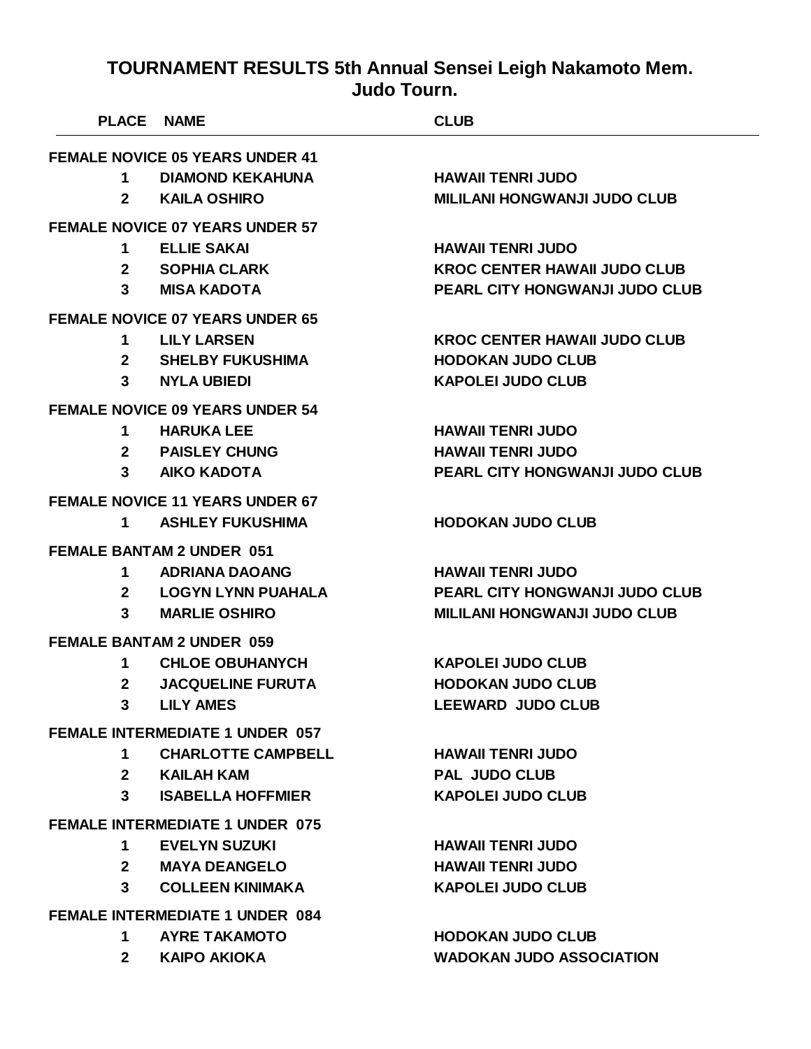| <b>PLACE NAME</b> |                                                                   | <b>CLUB</b>                           |
|-------------------|-------------------------------------------------------------------|---------------------------------------|
|                   | <b>FEMALE NOVICE 05 YEARS UNDER 41</b>                            |                                       |
| 1                 | <b>DIAMOND KEKAHUNA</b>                                           | <b>HAWAII TENRI JUDO</b>              |
| $\mathbf{2}$      | <b>KAILA OSHIRO</b>                                               | <b>MILILANI HONGWANJI JUDO CLUB</b>   |
|                   | <b>FEMALE NOVICE 07 YEARS UNDER 57</b>                            |                                       |
| 1                 | <b>ELLIE SAKAI</b>                                                | <b>HAWAII TENRI JUDO</b>              |
| $\mathbf{2}$      | <b>SOPHIA CLARK</b>                                               | <b>KROC CENTER HAWAII JUDO CLUB</b>   |
| 3 <sup>1</sup>    | <b>MISA KADOTA</b>                                                | PEARL CITY HONGWANJI JUDO CLUB        |
|                   | <b>FEMALE NOVICE 07 YEARS UNDER 65</b>                            |                                       |
| 1                 | <b>LILY LARSEN</b>                                                | <b>KROC CENTER HAWAII JUDO CLUB</b>   |
|                   | 2 SHELBY FUKUSHIMA                                                | <b>HODOKAN JUDO CLUB</b>              |
| 3                 | <b>NYLA UBIEDI</b>                                                | <b>KAPOLEI JUDO CLUB</b>              |
|                   | <b>FEMALE NOVICE 09 YEARS UNDER 54</b>                            |                                       |
| 1                 | <b>HARUKA LEE</b>                                                 | <b>HAWAII TENRI JUDO</b>              |
| $\mathbf{2}$      | <b>PAISLEY CHUNG</b>                                              | <b>HAWAII TENRI JUDO</b>              |
| 3                 | <b>AIKO KADOTA</b>                                                | <b>PEARL CITY HONGWANJI JUDO CLUB</b> |
|                   |                                                                   |                                       |
| 1                 | <b>FEMALE NOVICE 11 YEARS UNDER 67</b><br><b>ASHLEY FUKUSHIMA</b> | <b>HODOKAN JUDO CLUB</b>              |
|                   |                                                                   |                                       |
|                   | <b>FEMALE BANTAM 2 UNDER 051</b>                                  |                                       |
| 1                 | <b>ADRIANA DAOANG</b>                                             | <b>HAWAII TENRI JUDO</b>              |
| $\mathbf{2}$      | <b>LOGYN LYNN PUAHALA</b>                                         | PEARL CITY HONGWANJI JUDO CLUB        |
| 3                 | <b>MARLIE OSHIRO</b>                                              | <b>MILILANI HONGWANJI JUDO CLUB</b>   |
|                   | <b>FEMALE BANTAM 2 UNDER 059</b>                                  |                                       |
| 1                 | <b>CHLOE OBUHANYCH</b>                                            | <b>KAPOLEI JUDO CLUB</b>              |
| $\mathbf{2}$      | <b>JACQUELINE FURUTA</b>                                          | <b>HODOKAN JUDO CLUB</b>              |
| 3                 | <b>LILY AMES</b>                                                  | <b>LEEWARD JUDO CLUB</b>              |
|                   | <b>FEMALE INTERMEDIATE 1 UNDER 057</b>                            |                                       |
| 1.                | <b>CHARLOTTE CAMPBELL</b>                                         | <b>HAWAII TENRI JUDO</b>              |
| $2^{\circ}$       | KAILAH KAM                                                        | <b>PAL JUDO CLUB</b>                  |
| 3 <sup>1</sup>    | <b>ISABELLA HOFFMIER</b>                                          | <b>KAPOLEI JUDO CLUB</b>              |
|                   | <b>FEMALE INTERMEDIATE 1 UNDER 075</b>                            |                                       |
| 1                 | <b>EVELYN SUZUKI</b>                                              | <b>HAWAII TENRI JUDO</b>              |
| $\mathbf{2}$      | <b>MAYA DEANGELO</b>                                              | <b>HAWAII TENRI JUDO</b>              |
| 3 <sup>1</sup>    | <b>COLLEEN KINIMAKA</b>                                           | <b>KAPOLEI JUDO CLUB</b>              |
|                   |                                                                   |                                       |
| 1                 | <b>FEMALE INTERMEDIATE 1 UNDER 084</b><br><b>AYRE TAKAMOTO</b>    | <b>HODOKAN JUDO CLUB</b>              |
| $\mathbf{2}$      | KAIPO AKIOKA                                                      | <b>WADOKAN JUDO ASSOCIATION</b>       |
|                   |                                                                   |                                       |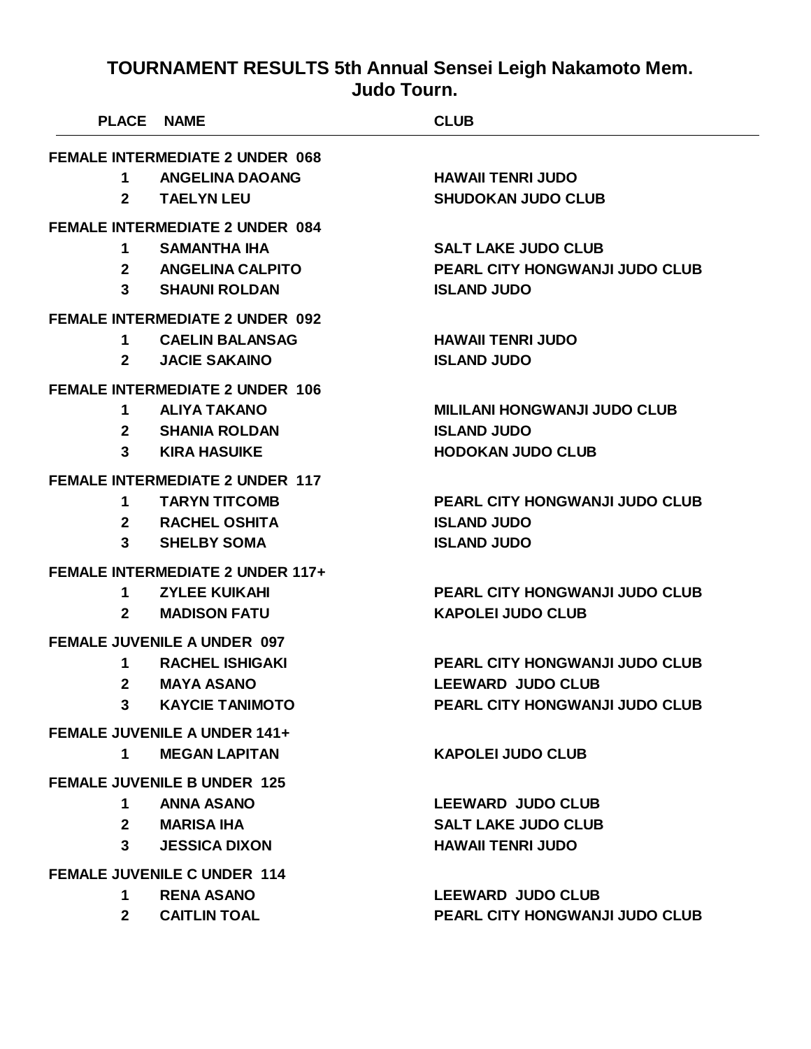| <b>PLACE NAME</b> |                                         | <b>CLUB</b>                           |
|-------------------|-----------------------------------------|---------------------------------------|
|                   | <b>FEMALE INTERMEDIATE 2 UNDER 068</b>  |                                       |
|                   | 1 ANGELINA DAOANG                       | <b>HAWAII TENRI JUDO</b>              |
| $2^{\circ}$       | <b>TAELYN LEU</b>                       | <b>SHUDOKAN JUDO CLUB</b>             |
|                   | <b>FEMALE INTERMEDIATE 2 UNDER 084</b>  |                                       |
| $\mathbf 1$       | SAMANTHA IHA                            | <b>SALT LAKE JUDO CLUB</b>            |
|                   | 2 ANGELINA CALPITO                      | PEARL CITY HONGWANJI JUDO CLUB        |
| 3                 | <b>SHAUNI ROLDAN</b>                    | <b>ISLAND JUDO</b>                    |
|                   | <b>FEMALE INTERMEDIATE 2 UNDER 092</b>  |                                       |
| 1.                | <b>CAELIN BALANSAG</b>                  | <b>HAWAII TENRI JUDO</b>              |
| $2^{\sim}$        | <b>JACIE SAKAINO</b>                    | <b>ISLAND JUDO</b>                    |
|                   | <b>FEMALE INTERMEDIATE 2 UNDER 106</b>  |                                       |
| 1.                | <b>ALIYA TAKANO</b>                     | <b>MILILANI HONGWANJI JUDO CLUB</b>   |
|                   | 2 SHANIA ROLDAN                         | <b>ISLAND JUDO</b>                    |
|                   | <b>3</b> KIRA HASUIKE                   | <b>HODOKAN JUDO CLUB</b>              |
|                   | <b>FEMALE INTERMEDIATE 2 UNDER 117</b>  |                                       |
| 1                 | <b>TARYN TITCOMB</b>                    | <b>PEARL CITY HONGWANJI JUDO CLUB</b> |
|                   | 2 RACHEL OSHITA                         | <b>ISLAND JUDO</b>                    |
| 3 <sup>1</sup>    | <b>SHELBY SOMA</b>                      | <b>ISLAND JUDO</b>                    |
|                   | <b>FEMALE INTERMEDIATE 2 UNDER 117+</b> |                                       |
| 1                 | <b>ZYLEE KUIKAHI</b>                    | PEARL CITY HONGWANJI JUDO CLUB        |
| $\mathbf{2}$      | <b>MADISON FATU</b>                     | <b>KAPOLEI JUDO CLUB</b>              |
|                   | <b>FEMALE JUVENILE A UNDER 097</b>      |                                       |
| 1                 | <b>RACHEL ISHIGAKI</b>                  | PEARL CITY HONGWANJI JUDO CLUB        |
| $\mathbf{2}$      | <b>MAYA ASANO</b>                       | <b>LEEWARD JUDO CLUB</b>              |
| 3                 | <b>KAYCIE TANIMOTO</b>                  | <b>PEARL CITY HONGWANJI JUDO CLUB</b> |
|                   | <b>FEMALE JUVENILE A UNDER 141+</b>     |                                       |
| 1                 | <b>MEGAN LAPITAN</b>                    | <b>KAPOLEI JUDO CLUB</b>              |
|                   | <b>FEMALE JUVENILE B UNDER 125</b>      |                                       |
|                   | 1 ANNA ASANO                            | <b>LEEWARD JUDO CLUB</b>              |
| $2^{\circ}$       | <b>MARISA IHA</b>                       | <b>SALT LAKE JUDO CLUB</b>            |
| $\mathbf{3}$      | <b>JESSICA DIXON</b>                    | <b>HAWAII TENRI JUDO</b>              |
|                   | <b>FEMALE JUVENILE C UNDER 114</b>      |                                       |
| 1                 | <b>RENA ASANO</b>                       | <b>LEEWARD JUDO CLUB</b>              |
| $2^{\circ}$       | <b>CAITLIN TOAL</b>                     | <b>PEARL CITY HONGWANJI JUDO CLUB</b> |
|                   |                                         |                                       |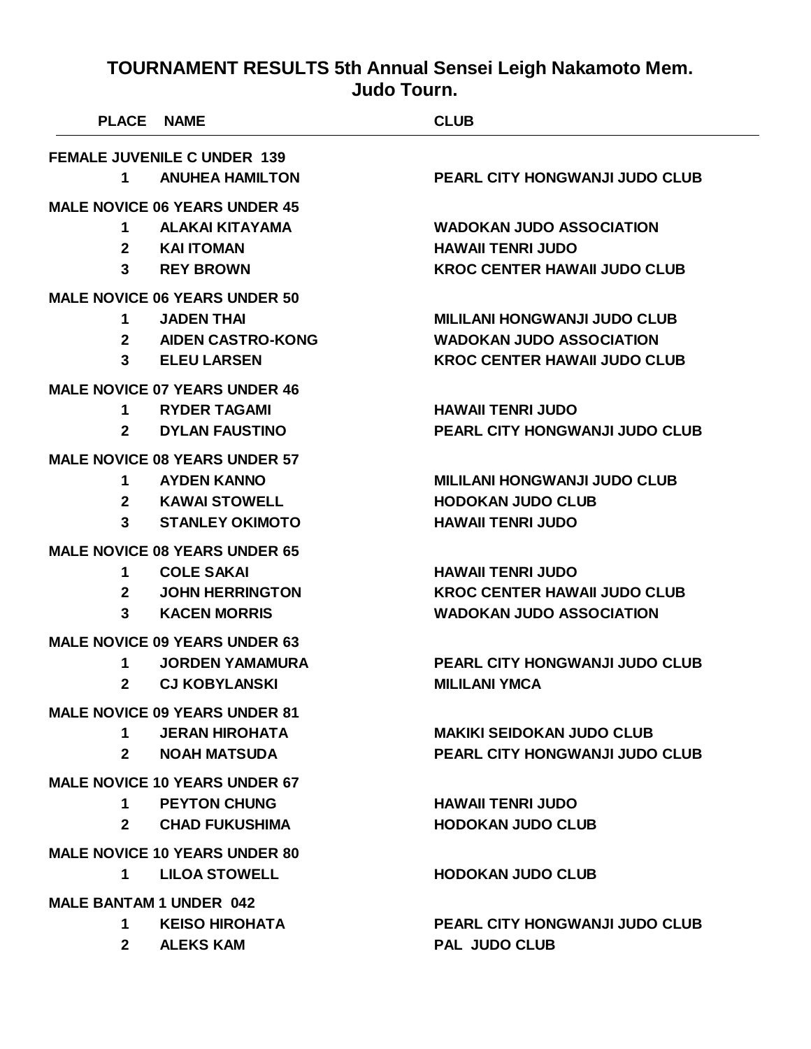|                                      | <b>PLACE NAME</b>                    | <b>CLUB</b>                           |  |
|--------------------------------------|--------------------------------------|---------------------------------------|--|
|                                      | <b>FEMALE JUVENILE C UNDER 139</b>   |                                       |  |
| 1                                    | <b>ANUHEA HAMILTON</b>               | <b>PEARL CITY HONGWANJI JUDO CLUB</b> |  |
|                                      | <b>MALE NOVICE 06 YEARS UNDER 45</b> |                                       |  |
| 1                                    | ALAKAI KITAYAMA                      | <b>WADOKAN JUDO ASSOCIATION</b>       |  |
| $\mathbf{2}$                         | <b>KAI ITOMAN</b>                    | <b>HAWAII TENRI JUDO</b>              |  |
| 3                                    | <b>REY BROWN</b>                     | <b>KROC CENTER HAWAII JUDO CLUB</b>   |  |
|                                      | <b>MALE NOVICE 06 YEARS UNDER 50</b> |                                       |  |
| 1                                    | <b>JADEN THAI</b>                    | <b>MILILANI HONGWANJI JUDO CLUB</b>   |  |
| $\mathbf{2}$                         | <b>AIDEN CASTRO-KONG</b>             | <b>WADOKAN JUDO ASSOCIATION</b>       |  |
| 3                                    | <b>ELEU LARSEN</b>                   | <b>KROC CENTER HAWAII JUDO CLUB</b>   |  |
|                                      | <b>MALE NOVICE 07 YEARS UNDER 46</b> |                                       |  |
| 1                                    | <b>RYDER TAGAMI</b>                  | <b>HAWAII TENRI JUDO</b>              |  |
| $\mathbf{2}$                         | <b>DYLAN FAUSTINO</b>                | <b>PEARL CITY HONGWANJI JUDO CLUB</b> |  |
|                                      | <b>MALE NOVICE 08 YEARS UNDER 57</b> |                                       |  |
| 1                                    | <b>AYDEN KANNO</b>                   | <b>MILILANI HONGWANJI JUDO CLUB</b>   |  |
| $\mathbf{2}$                         | KAWAI STOWELL                        | <b>HODOKAN JUDO CLUB</b>              |  |
| 3                                    | <b>STANLEY OKIMOTO</b>               | <b>HAWAII TENRI JUDO</b>              |  |
|                                      | <b>MALE NOVICE 08 YEARS UNDER 65</b> |                                       |  |
| 1                                    | <b>COLE SAKAI</b>                    | <b>HAWAII TENRI JUDO</b>              |  |
| $\mathbf{2}$                         | <b>JOHN HERRINGTON</b>               | <b>KROC CENTER HAWAII JUDO CLUB</b>   |  |
| 3                                    | <b>KACEN MORRIS</b>                  | <b>WADOKAN JUDO ASSOCIATION</b>       |  |
|                                      | <b>MALE NOVICE 09 YEARS UNDER 63</b> |                                       |  |
| 1                                    | <b>JORDEN YAMAMURA</b>               | <b>PEARL CITY HONGWANJI JUDO CLUB</b> |  |
| $\mathbf{2}$                         | <b>CJ KOBYLANSKI</b>                 | <b>MILILANI YMCA</b>                  |  |
|                                      | <b>MALE NOVICE 09 YEARS UNDER 81</b> |                                       |  |
| 1 $\blacksquare$                     | <b>JERAN HIROHATA</b>                | <b>MAKIKI SEIDOKAN JUDO CLUB</b>      |  |
| $2^{\circ}$                          | <b>NOAH MATSUDA</b>                  | <b>PEARL CITY HONGWANJI JUDO CLUB</b> |  |
| <b>MALE NOVICE 10 YEARS UNDER 67</b> |                                      |                                       |  |
| 1                                    | <b>PEYTON CHUNG</b>                  | <b>HAWAII TENRI JUDO</b>              |  |
| $2^{\circ}$                          | <b>CHAD FUKUSHIMA</b>                | <b>HODOKAN JUDO CLUB</b>              |  |
| <b>MALE NOVICE 10 YEARS UNDER 80</b> |                                      |                                       |  |
| $\mathbf 1$                          | <b>LILOA STOWELL</b>                 | <b>HODOKAN JUDO CLUB</b>              |  |
| <b>MALE BANTAM 1 UNDER 042</b>       |                                      |                                       |  |
| 1                                    | <b>KEISO HIROHATA</b>                | <b>PEARL CITY HONGWANJI JUDO CLUB</b> |  |
|                                      |                                      |                                       |  |

**ALEKS KAM PAL JUDO CLUB**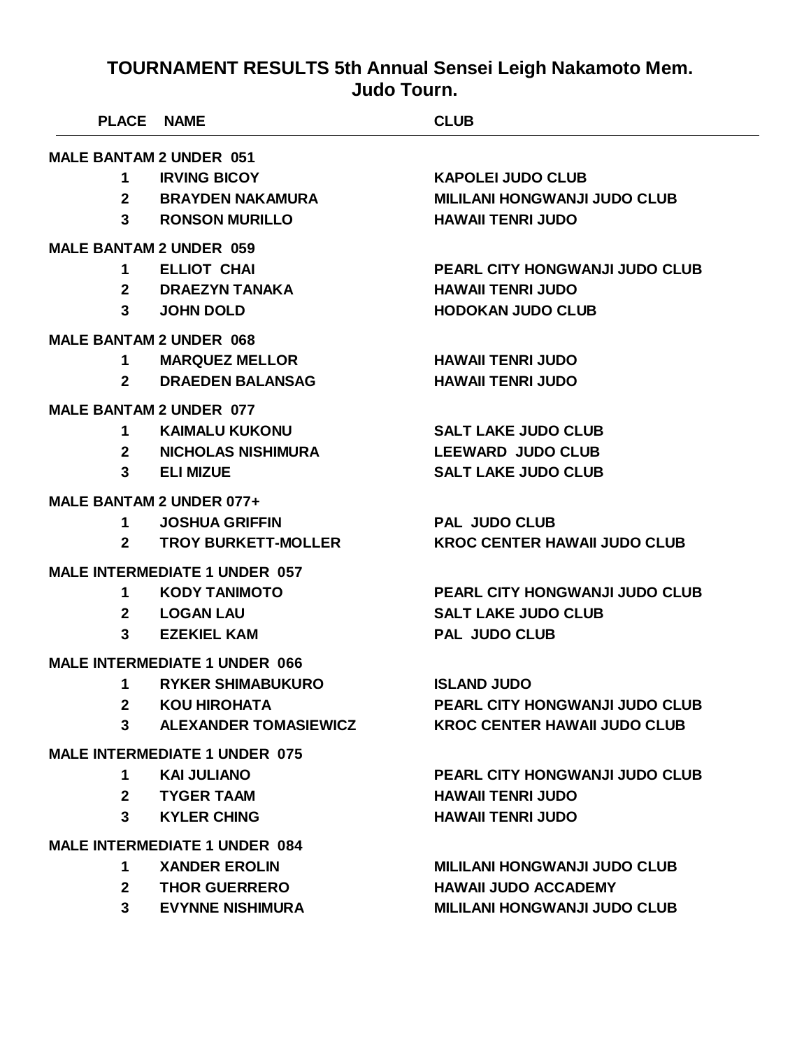| <b>PLACE NAME</b>                    |                                      | <b>CLUB</b>                           |  |
|--------------------------------------|--------------------------------------|---------------------------------------|--|
| <b>MALE BANTAM 2 UNDER 051</b>       |                                      |                                       |  |
| 1.                                   | <b>IRVING BICOY</b>                  | <b>KAPOLEI JUDO CLUB</b>              |  |
| 2 <sup>1</sup>                       | <b>BRAYDEN NAKAMURA</b>              | <b>MILILANI HONGWANJI JUDO CLUB</b>   |  |
| $3^{\circ}$                          | <b>RONSON MURILLO</b>                | <b>HAWAII TENRI JUDO</b>              |  |
| <b>MALE BANTAM 2 UNDER 059</b>       |                                      |                                       |  |
| 1                                    | <b>ELLIOT CHAI</b>                   | <b>PEARL CITY HONGWANJI JUDO CLUB</b> |  |
| $2^{\circ}$                          | <b>DRAEZYN TANAKA</b>                | <b>HAWAII TENRI JUDO</b>              |  |
| 3 <sup>1</sup>                       | <b>JOHN DOLD</b>                     | <b>HODOKAN JUDO CLUB</b>              |  |
| <b>MALE BANTAM 2 UNDER 068</b>       |                                      |                                       |  |
| 1                                    | <b>MARQUEZ MELLOR</b>                | <b>HAWAII TENRI JUDO</b>              |  |
| $2^{\sim}$                           | <b>DRAEDEN BALANSAG</b>              | <b>HAWAII TENRI JUDO</b>              |  |
| <b>MALE BANTAM 2 UNDER 077</b>       |                                      |                                       |  |
| 1.                                   | <b>KAIMALU KUKONU</b>                | <b>SALT LAKE JUDO CLUB</b>            |  |
| $\mathbf{2}$                         | NICHOLAS NISHIMURA                   | <b>LEEWARD JUDO CLUB</b>              |  |
| $3^{\circ}$                          | <b>ELI MIZUE</b>                     | <b>SALT LAKE JUDO CLUB</b>            |  |
|                                      | MALE BANTAM 2 UNDER 077+             |                                       |  |
| $\mathbf 1$                          | <b>JOSHUA GRIFFIN</b>                | <b>PAL JUDO CLUB</b>                  |  |
| $\mathbf{2}$                         | <b>TROY BURKETT-MOLLER</b>           | <b>KROC CENTER HAWAII JUDO CLUB</b>   |  |
|                                      | <b>MALE INTERMEDIATE 1 UNDER 057</b> |                                       |  |
| 1.                                   | <b>KODY TANIMOTO</b>                 | <b>PEARL CITY HONGWANJI JUDO CLUB</b> |  |
| $\mathbf{2}$                         | <b>LOGAN LAU</b>                     | <b>SALT LAKE JUDO CLUB</b>            |  |
| 3                                    | <b>EZEKIEL KAM</b>                   | <b>PAL JUDO CLUB</b>                  |  |
|                                      | <b>MALE INTERMEDIATE 1 UNDER 066</b> |                                       |  |
| 1                                    | <b>RYKER SHIMABUKURO</b>             | <b>ISLAND JUDO</b>                    |  |
| $\mathbf{2}$                         | <b>KOU HIROHATA</b>                  | <b>PEARL CITY HONGWANJI JUDO CLUB</b> |  |
| 3 <sup>1</sup>                       | <b>ALEXANDER TOMASIEWICZ</b>         | <b>KROC CENTER HAWAII JUDO CLUB</b>   |  |
| <b>MALE INTERMEDIATE 1 UNDER 075</b> |                                      |                                       |  |
| 1                                    | <b>KAI JULIANO</b>                   | <b>PEARL CITY HONGWANJI JUDO CLUB</b> |  |
|                                      | 2 TYGER TAAM                         | <b>HAWAII TENRI JUDO</b>              |  |
| $3^{\circ}$                          | <b>KYLER CHING</b>                   | <b>HAWAII TENRI JUDO</b>              |  |
| <b>MALE INTERMEDIATE 1 UNDER 084</b> |                                      |                                       |  |
| 1.                                   | <b>XANDER EROLIN</b>                 | <b>MILILANI HONGWANJI JUDO CLUB</b>   |  |
| $\mathbf{2}$                         | <b>THOR GUERRERO</b>                 | <b>HAWAII JUDO ACCADEMY</b>           |  |
| 3 <sup>1</sup>                       | <b>EVYNNE NISHIMURA</b>              | <b>MILILANI HONGWANJI JUDO CLUB</b>   |  |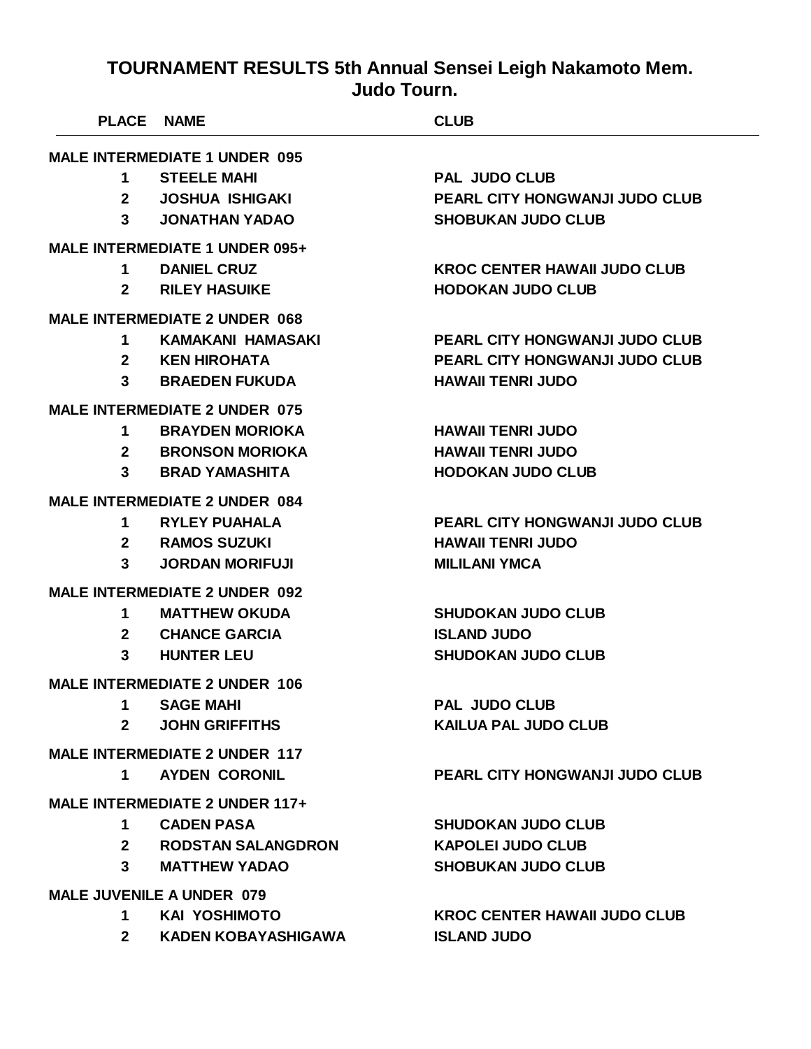|                | <b>PLACE NAME</b>                     | <b>CLUB</b>                           |
|----------------|---------------------------------------|---------------------------------------|
|                | <b>MALE INTERMEDIATE 1 UNDER 095</b>  |                                       |
| 1              | <b>STEELE MAHI</b>                    | <b>PAL JUDO CLUB</b>                  |
| $\mathbf{2}$   | <b>JOSHUA ISHIGAKI</b>                | <b>PEARL CITY HONGWANJI JUDO CLUB</b> |
| $3^{\circ}$    | <b>JONATHAN YADAO</b>                 | <b>SHOBUKAN JUDO CLUB</b>             |
|                | MALE INTERMEDIATE 1 UNDER 095+        |                                       |
| $\mathbf 1$    | <b>DANIEL CRUZ</b>                    | <b>KROC CENTER HAWAII JUDO CLUB</b>   |
| $\mathbf{2}$   | <b>RILEY HASUIKE</b>                  | <b>HODOKAN JUDO CLUB</b>              |
|                | <b>MALE INTERMEDIATE 2 UNDER 068</b>  |                                       |
| 1              | KAMAKANI HAMASAKI                     | PEARL CITY HONGWANJI JUDO CLUB        |
| $\mathbf{2}$   | <b>KEN HIROHATA</b>                   | <b>PEARL CITY HONGWANJI JUDO CLUB</b> |
| 3              | <b>BRAEDEN FUKUDA</b>                 | <b>HAWAII TENRI JUDO</b>              |
|                | <b>MALE INTERMEDIATE 2 UNDER 075</b>  |                                       |
| 1              | <b>BRAYDEN MORIOKA</b>                | <b>HAWAII TENRI JUDO</b>              |
| $2^{\circ}$    | <b>BRONSON MORIOKA</b>                | <b>HAWAII TENRI JUDO</b>              |
| 3              | <b>BRAD YAMASHITA</b>                 | <b>HODOKAN JUDO CLUB</b>              |
|                | <b>MALE INTERMEDIATE 2 UNDER 084</b>  |                                       |
| 1              | <b>RYLEY PUAHALA</b>                  | <b>PEARL CITY HONGWANJI JUDO CLUB</b> |
|                | 2 RAMOS SUZUKI                        | <b>HAWAII TENRI JUDO</b>              |
| $\mathbf{3}$   | <b>JORDAN MORIFUJI</b>                | <b>MILILANI YMCA</b>                  |
|                | <b>MALE INTERMEDIATE 2 UNDER 092</b>  |                                       |
| 1              | <b>MATTHEW OKUDA</b>                  | <b>SHUDOKAN JUDO CLUB</b>             |
| $\mathbf{2}$   | <b>CHANCE GARCIA</b>                  | <b>ISLAND JUDO</b>                    |
| 3              | <b>HUNTER LEU</b>                     | <b>SHUDOKAN JUDO CLUB</b>             |
|                | <b>MALE INTERMEDIATE 2 UNDER 106</b>  |                                       |
| 1              | <b>SAGE MAHI</b>                      | <b>PAL JUDO CLUB</b>                  |
| 2 <sup>1</sup> | <b>JOHN GRIFFITHS</b>                 | <b>KAILUA PAL JUDO CLUB</b>           |
|                | <b>MALE INTERMEDIATE 2 UNDER 117</b>  |                                       |
| $\mathbf 1$    | <b>AYDEN CORONIL</b>                  | <b>PEARL CITY HONGWANJI JUDO CLUB</b> |
|                | <b>MALE INTERMEDIATE 2 UNDER 117+</b> |                                       |
| 1              | <b>CADEN PASA</b>                     | <b>SHUDOKAN JUDO CLUB</b>             |
| $\mathbf{2}$   | <b>RODSTAN SALANGDRON</b>             | <b>KAPOLEI JUDO CLUB</b>              |
| $\mathbf{3}$   | <b>MATTHEW YADAO</b>                  | <b>SHOBUKAN JUDO CLUB</b>             |
|                | <b>MALE JUVENILE A UNDER 079</b>      |                                       |
| $\mathbf 1$    | <b>KAI YOSHIMOTO</b>                  | <b>KROC CENTER HAWAII JUDO CLUB</b>   |
| $2^{\circ}$    | <b>KADEN KOBAYASHIGAWA</b>            | <b>ISLAND JUDO</b>                    |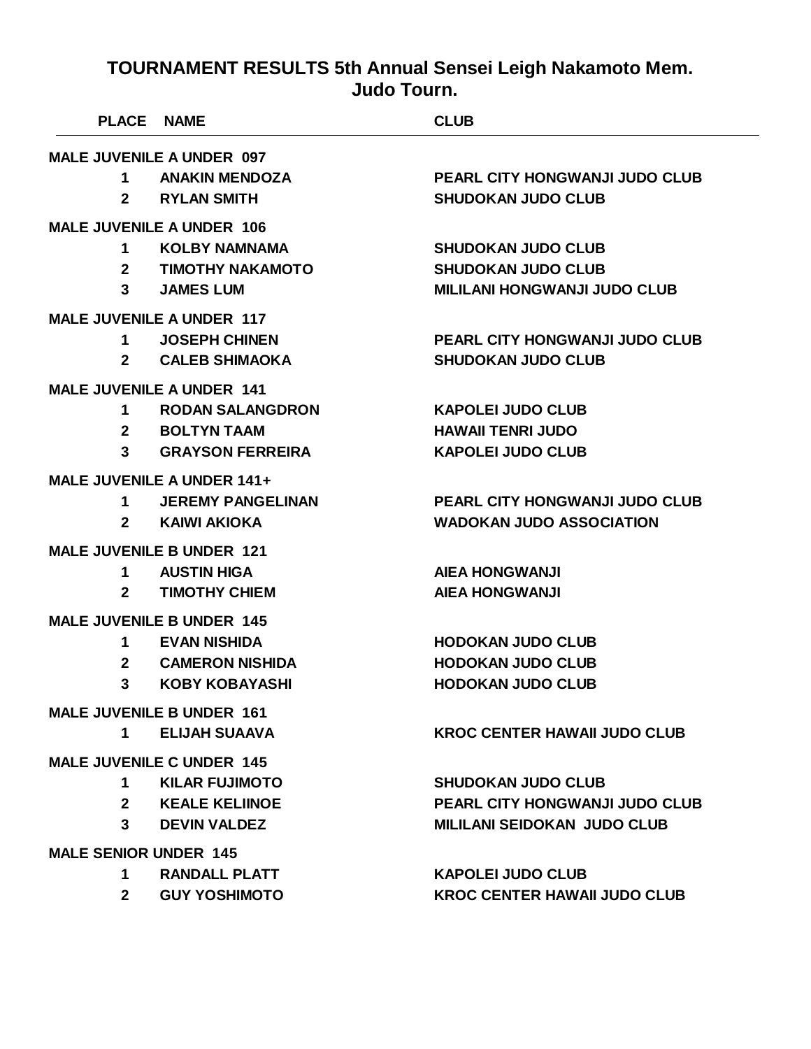| <b>PLACE</b>                 | <b>NAME</b>                      | <b>CLUB</b>                           |
|------------------------------|----------------------------------|---------------------------------------|
|                              | <b>MALE JUVENILE A UNDER 097</b> |                                       |
| 1                            | <b>ANAKIN MENDOZA</b>            | <b>PEARL CITY HONGWANJI JUDO CLUB</b> |
| $\mathbf{2}$                 | <b>RYLAN SMITH</b>               | <b>SHUDOKAN JUDO CLUB</b>             |
|                              | <b>MALE JUVENILE A UNDER 106</b> |                                       |
| 1                            | <b>KOLBY NAMNAMA</b>             | <b>SHUDOKAN JUDO CLUB</b>             |
| $\mathbf{2}$                 | <b>TIMOTHY NAKAMOTO</b>          | <b>SHUDOKAN JUDO CLUB</b>             |
| 3                            | <b>JAMES LUM</b>                 | <b>MILILANI HONGWANJI JUDO CLUB</b>   |
|                              | <b>MALE JUVENILE A UNDER 117</b> |                                       |
| 1                            | <b>JOSEPH CHINEN</b>             | <b>PEARL CITY HONGWANJI JUDO CLUB</b> |
| $\mathbf{2}$                 | <b>CALEB SHIMAOKA</b>            | <b>SHUDOKAN JUDO CLUB</b>             |
|                              | <b>MALE JUVENILE A UNDER 141</b> |                                       |
| 1                            | <b>RODAN SALANGDRON</b>          | <b>KAPOLEI JUDO CLUB</b>              |
| $\mathbf{2}$                 | <b>BOLTYN TAAM</b>               | <b>HAWAII TENRI JUDO</b>              |
| 3                            | <b>GRAYSON FERREIRA</b>          | <b>KAPOLEI JUDO CLUB</b>              |
|                              | MALE JUVENILE A UNDER 141+       |                                       |
| 1                            | <b>JEREMY PANGELINAN</b>         | <b>PEARL CITY HONGWANJI JUDO CLUB</b> |
| $\mathbf{2}$                 | KAIWI AKIOKA                     | <b>WADOKAN JUDO ASSOCIATION</b>       |
|                              | <b>MALE JUVENILE B UNDER 121</b> |                                       |
| 1                            | <b>AUSTIN HIGA</b>               | <b>AIEA HONGWANJI</b>                 |
| $\mathbf{2}$                 | <b>TIMOTHY CHIEM</b>             | <b>AIEA HONGWANJI</b>                 |
|                              | <b>MALE JUVENILE B UNDER 145</b> |                                       |
| 1                            | <b>EVAN NISHIDA</b>              | <b>HODOKAN JUDO CLUB</b>              |
| $\mathbf{2}$                 | <b>CAMERON NISHIDA</b>           | <b>HODOKAN JUDO CLUB</b>              |
| 3                            | <b>KOBY KOBAYASHI</b>            | <b>HODOKAN JUDO CLUB</b>              |
|                              | <b>MALE JUVENILE B UNDER 161</b> |                                       |
| $1 \quad$                    | <b>ELIJAH SUAAVA</b>             | <b>KROC CENTER HAWAII JUDO CLUB</b>   |
|                              | <b>MALE JUVENILE C UNDER 145</b> |                                       |
| 1                            | <b>KILAR FUJIMOTO</b>            | <b>SHUDOKAN JUDO CLUB</b>             |
| 2 <sup>1</sup>               | <b>KEALE KELIINOE</b>            | <b>PEARL CITY HONGWANJI JUDO CLUB</b> |
| $\mathbf{3}$                 | <b>DEVIN VALDEZ</b>              | <b>MILILANI SEIDOKAN JUDO CLUB</b>    |
| <b>MALE SENIOR UNDER 145</b> |                                  |                                       |
| $1 \quad$                    | <b>RANDALL PLATT</b>             | <b>KAPOLEI JUDO CLUB</b>              |
| $2^{\circ}$                  | <b>GUY YOSHIMOTO</b>             | <b>KROC CENTER HAWAII JUDO CLUB</b>   |